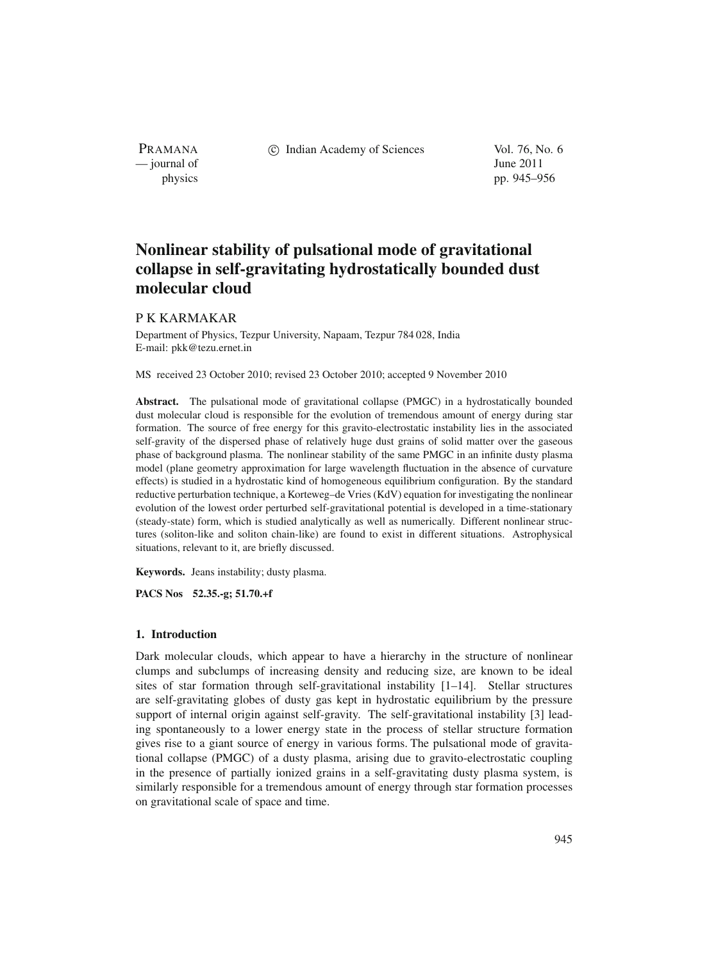c Indian Academy of Sciences Vol. 76, No. 6

— journal of June 2011 physics pp. 945–956

# **Nonlinear stability of pulsational mode of gravitational collapse in self-gravitating hydrostatically bounded dust molecular cloud**

# P K KARMAKAR

PRAMANA

Department of Physics, Tezpur University, Napaam, Tezpur 784 028, India E-mail: pkk@tezu.ernet.in

MS received 23 October 2010; revised 23 October 2010; accepted 9 November 2010

**Abstract.** The pulsational mode of gravitational collapse (PMGC) in a hydrostatically bounded dust molecular cloud is responsible for the evolution of tremendous amount of energy during star formation. The source of free energy for this gravito-electrostatic instability lies in the associated self-gravity of the dispersed phase of relatively huge dust grains of solid matter over the gaseous phase of background plasma. The nonlinear stability of the same PMGC in an infinite dusty plasma model (plane geometry approximation for large wavelength fluctuation in the absence of curvature effects) is studied in a hydrostatic kind of homogeneous equilibrium configuration. By the standard reductive perturbation technique, a Korteweg–de Vries (KdV) equation for investigating the nonlinear evolution of the lowest order perturbed self-gravitational potential is developed in a time-stationary (steady-state) form, which is studied analytically as well as numerically. Different nonlinear structures (soliton-like and soliton chain-like) are found to exist in different situations. Astrophysical situations, relevant to it, are briefly discussed.

**Keywords.** Jeans instability; dusty plasma.

**PACS Nos 52.35.-g; 51.70.+f**

#### **1. Introduction**

Dark molecular clouds, which appear to have a hierarchy in the structure of nonlinear clumps and subclumps of increasing density and reducing size, are known to be ideal sites of star formation through self-gravitational instability [1–14]. Stellar structures are self-gravitating globes of dusty gas kept in hydrostatic equilibrium by the pressure support of internal origin against self-gravity. The self-gravitational instability [3] leading spontaneously to a lower energy state in the process of stellar structure formation gives rise to a giant source of energy in various forms. The pulsational mode of gravitational collapse (PMGC) of a dusty plasma, arising due to gravito-electrostatic coupling in the presence of partially ionized grains in a self-gravitating dusty plasma system, is similarly responsible for a tremendous amount of energy through star formation processes on gravitational scale of space and time.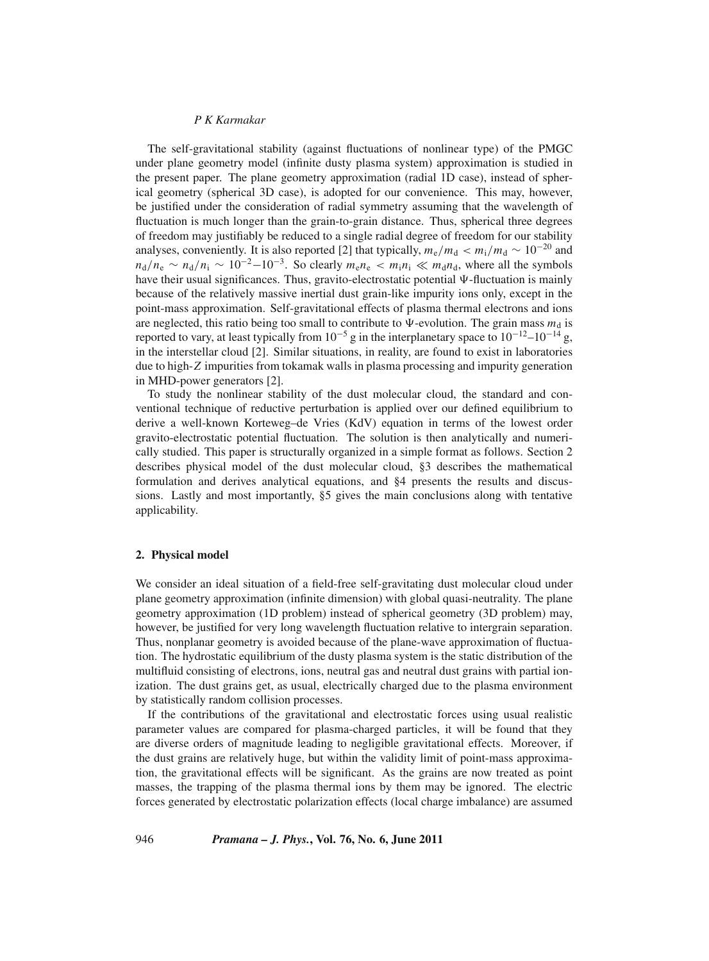The self-gravitational stability (against fluctuations of nonlinear type) of the PMGC under plane geometry model (infinite dusty plasma system) approximation is studied in the present paper. The plane geometry approximation (radial 1D case), instead of spherical geometry (spherical 3D case), is adopted for our convenience. This may, however, be justified under the consideration of radial symmetry assuming that the wavelength of fluctuation is much longer than the grain-to-grain distance. Thus, spherical three degrees of freedom may justifiably be reduced to a single radial degree of freedom for our stability analyses, conveniently. It is also reported [2] that typically,  $m_e/m_d < m_i/m_d \sim 10^{-20}$  and  $n_d/n_e \sim n_d/n_i \sim 10^{-2} - 10^{-3}$ . So clearly  $m_e n_e \langle m_i n_i \rangle \langle m_d n_d$ , where all the symbols have their usual significances. Thus, gravito-electrostatic potential  $\Psi$ -fluctuation is mainly because of the relatively massive inertial dust grain-like impurity ions only, except in the point-mass approximation. Self-gravitational effects of plasma thermal electrons and ions are neglected, this ratio being too small to contribute to  $\Psi$ -evolution. The grain mass  $m_d$  is reported to vary, at least typically from  $10^{-5}$  g in the interplanetary space to  $10^{-12}$ – $10^{-14}$  g, in the interstellar cloud [2]. Similar situations, in reality, are found to exist in laboratories due to high-*Z* impurities from tokamak walls in plasma processing and impurity generation in MHD-power generators [2].

To study the nonlinear stability of the dust molecular cloud, the standard and conventional technique of reductive perturbation is applied over our defined equilibrium to derive a well-known Korteweg–de Vries (KdV) equation in terms of the lowest order gravito-electrostatic potential fluctuation. The solution is then analytically and numerically studied. This paper is structurally organized in a simple format as follows. Section 2 describes physical model of the dust molecular cloud, §3 describes the mathematical formulation and derives analytical equations, and §4 presents the results and discussions. Lastly and most importantly, §5 gives the main conclusions along with tentative applicability.

#### **2. Physical model**

We consider an ideal situation of a field-free self-gravitating dust molecular cloud under plane geometry approximation (infinite dimension) with global quasi-neutrality. The plane geometry approximation (1D problem) instead of spherical geometry (3D problem) may, however, be justified for very long wavelength fluctuation relative to intergrain separation. Thus, nonplanar geometry is avoided because of the plane-wave approximation of fluctuation. The hydrostatic equilibrium of the dusty plasma system is the static distribution of the multifluid consisting of electrons, ions, neutral gas and neutral dust grains with partial ionization. The dust grains get, as usual, electrically charged due to the plasma environment by statistically random collision processes.

If the contributions of the gravitational and electrostatic forces using usual realistic parameter values are compared for plasma-charged particles, it will be found that they are diverse orders of magnitude leading to negligible gravitational effects. Moreover, if the dust grains are relatively huge, but within the validity limit of point-mass approximation, the gravitational effects will be significant. As the grains are now treated as point masses, the trapping of the plasma thermal ions by them may be ignored. The electric forces generated by electrostatic polarization effects (local charge imbalance) are assumed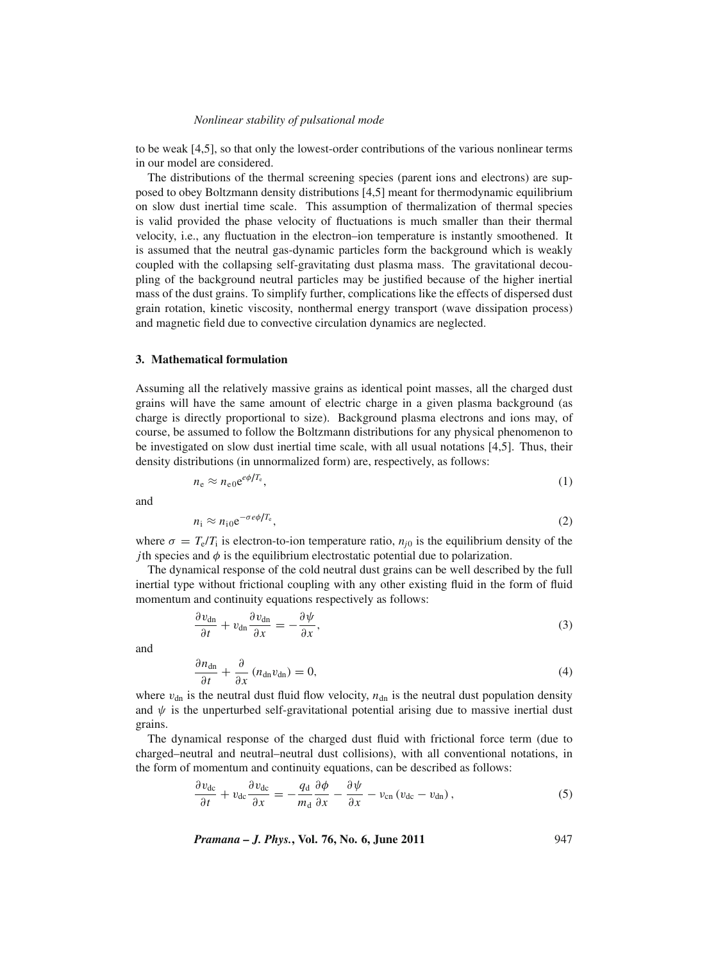#### *Nonlinear stability of pulsational mode*

to be weak [4,5], so that only the lowest-order contributions of the various nonlinear terms in our model are considered.

The distributions of the thermal screening species (parent ions and electrons) are supposed to obey Boltzmann density distributions [4,5] meant for thermodynamic equilibrium on slow dust inertial time scale. This assumption of thermalization of thermal species is valid provided the phase velocity of fluctuations is much smaller than their thermal velocity, i.e., any fluctuation in the electron–ion temperature is instantly smoothened. It is assumed that the neutral gas-dynamic particles form the background which is weakly coupled with the collapsing self-gravitating dust plasma mass. The gravitational decoupling of the background neutral particles may be justified because of the higher inertial mass of the dust grains. To simplify further, complications like the effects of dispersed dust grain rotation, kinetic viscosity, nonthermal energy transport (wave dissipation process) and magnetic field due to convective circulation dynamics are neglected.

# **3. Mathematical formulation**

Assuming all the relatively massive grains as identical point masses, all the charged dust grains will have the same amount of electric charge in a given plasma background (as charge is directly proportional to size). Background plasma electrons and ions may, of course, be assumed to follow the Boltzmann distributions for any physical phenomenon to be investigated on slow dust inertial time scale, with all usual notations [4,5]. Thus, their density distributions (in unnormalized form) are, respectively, as follows:

$$
n_{\rm e} \approx n_{\rm e0} e^{\epsilon \phi/T_{\rm e}},\tag{1}
$$

and

$$
n_{\rm i} \approx n_{\rm i0} \mathrm{e}^{-\sigma e \phi/T_{\rm e}},\tag{2}
$$

where  $\sigma = T_e/T_i$  is electron-to-ion temperature ratio,  $n_{i0}$  is the equilibrium density of the *j*th species and  $\phi$  is the equilibrium electrostatic potential due to polarization.

The dynamical response of the cold neutral dust grains can be well described by the full inertial type without frictional coupling with any other existing fluid in the form of fluid momentum and continuity equations respectively as follows:

$$
\frac{\partial v_{\rm dn}}{\partial t} + v_{\rm dn} \frac{\partial v_{\rm dn}}{\partial x} = -\frac{\partial \psi}{\partial x},\tag{3}
$$

and

$$
\frac{\partial n_{\rm dn}}{\partial t} + \frac{\partial}{\partial x} (n_{\rm dn} v_{\rm dn}) = 0, \tag{4}
$$

where  $v_{dn}$  is the neutral dust fluid flow velocity,  $n_{dn}$  is the neutral dust population density and  $\psi$  is the unperturbed self-gravitational potential arising due to massive inertial dust grains.

The dynamical response of the charged dust fluid with frictional force term (due to charged–neutral and neutral–neutral dust collisions), with all conventional notations, in the form of momentum and continuity equations, can be described as follows:

$$
\frac{\partial v_{\rm dc}}{\partial t} + v_{\rm dc} \frac{\partial v_{\rm dc}}{\partial x} = -\frac{q_{\rm d}}{m_{\rm d}} \frac{\partial \phi}{\partial x} - \frac{\partial \psi}{\partial x} - v_{\rm cn} (v_{\rm dc} - v_{\rm dn}), \qquad (5)
$$

*Pramana – J. Phys.***, Vol. 76, No. 6, June 2011** 947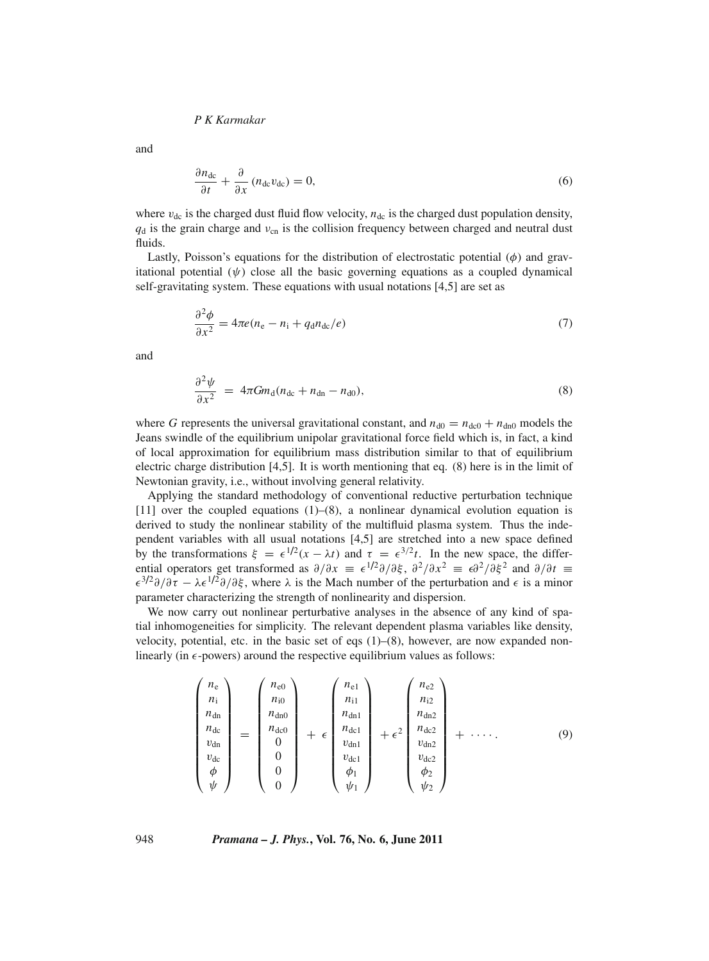and

$$
\frac{\partial n_{\rm dc}}{\partial t} + \frac{\partial}{\partial x} (n_{\rm dc} v_{\rm dc}) = 0, \tag{6}
$$

where  $v_{dc}$  is the charged dust fluid flow velocity,  $n_{dc}$  is the charged dust population density,  $q_d$  is the grain charge and  $v_{cn}$  is the collision frequency between charged and neutral dust fluids.

Lastly, Poisson's equations for the distribution of electrostatic potential  $(\phi)$  and gravitational potential  $(\psi)$  close all the basic governing equations as a coupled dynamical self-gravitating system. These equations with usual notations [4,5] are set as

$$
\frac{\partial^2 \phi}{\partial x^2} = 4\pi e (n_e - n_i + q_d n_{dc}/e)
$$
\n(7)

and

$$
\frac{\partial^2 \psi}{\partial x^2} = 4\pi G m_d (n_{\text{dc}} + n_{\text{dn}} - n_{\text{d0}}),\tag{8}
$$

where *G* represents the universal gravitational constant, and  $n_{d0} = n_{d0} + n_{d0}$  models the Jeans swindle of the equilibrium unipolar gravitational force field which is, in fact, a kind of local approximation for equilibrium mass distribution similar to that of equilibrium electric charge distribution [4,5]. It is worth mentioning that eq. (8) here is in the limit of Newtonian gravity, i.e., without involving general relativity.

Applying the standard methodology of conventional reductive perturbation technique [11] over the coupled equations (1)–(8), a nonlinear dynamical evolution equation is derived to study the nonlinear stability of the multifluid plasma system. Thus the independent variables with all usual notations [4,5] are stretched into a new space defined by the transformations  $\xi = \epsilon^{1/2}(x - \lambda t)$  and  $\tau = \epsilon^{3/2}t$ . In the new space, the differential operators get transformed as  $\partial/\partial x = \epsilon^{1/2}\partial/\partial \xi$ ,  $\partial^2/\partial x^2 = \epsilon \partial^2/\partial \xi^2$  and  $\partial/\partial t =$  $\epsilon^{3/2}\partial/\partial\tau - \lambda \epsilon^{1/2}\partial/\partial\xi$ , where  $\lambda$  is the Mach number of the perturbation and  $\epsilon$  is a minor parameter characterizing the strength of nonlinearity and dispersion.

We now carry out nonlinear perturbative analyses in the absence of any kind of spatial inhomogeneities for simplicity. The relevant dependent plasma variables like density, velocity, potential, etc. in the basic set of eqs  $(1)$ – $(8)$ , however, are now expanded nonlinearly (in  $\epsilon$ -powers) around the respective equilibrium values as follows:

$$
\begin{pmatrix}\nn_e \\
n_i \\
n_{dn} \\
n_{dm} \\
v_{dm} \\
v_{dc} \\
\phi \\
\psi\n\end{pmatrix} = \begin{pmatrix}\nn_{e0} \\
n_{i0} \\
n_{d0} \\
n_{d0} \\
0 \\
0 \\
0 \\
0\n\end{pmatrix} + \epsilon \begin{pmatrix}\nn_{e1} \\
n_{i1} \\
n_{dn1} \\
n_{dn2} \\
n_{dn1} \\
v_{dn1} \\
v_{dc1} \\
\psi_1 \\
\psi_2\n\end{pmatrix} + \epsilon^2 \begin{pmatrix}\nn_{e2} \\
n_{i2} \\
n_{dn2} \\
n_{dn2} \\
v_{dn3} \\
v_{dc2} \\
\psi_2 \\
\psi_2\n\end{pmatrix} + \cdots
$$
\n(9)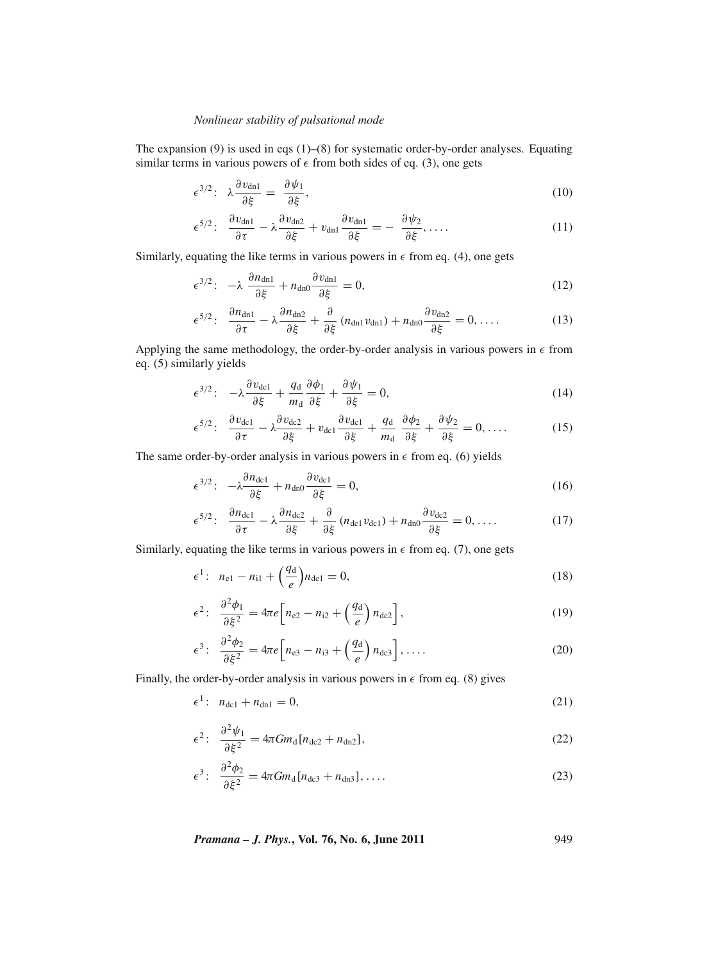# *Nonlinear stability of pulsational mode*

The expansion  $(9)$  is used in eqs  $(1)$ – $(8)$  for systematic order-by-order analyses. Equating similar terms in various powers of  $\epsilon$  from both sides of eq. (3), one gets

$$
\epsilon^{3/2} \colon \ \lambda \frac{\partial v_{\text{dn1}}}{\partial \xi} = \frac{\partial \psi_1}{\partial \xi},\tag{10}
$$

$$
\epsilon^{5/2} \colon \frac{\partial v_{\text{dn1}}}{\partial \tau} - \lambda \frac{\partial v_{\text{dn2}}}{\partial \xi} + v_{\text{dn1}} \frac{\partial v_{\text{dn1}}}{\partial \xi} = -\frac{\partial \psi_2}{\partial \xi}, \dots \tag{11}
$$

Similarly, equating the like terms in various powers in  $\epsilon$  from eq. (4), one gets

$$
\epsilon^{3/2}: \ -\lambda \ \frac{\partial n_{\text{dn1}}}{\partial \xi} + n_{\text{dn0}} \frac{\partial v_{\text{dn1}}}{\partial \xi} = 0, \tag{12}
$$

$$
\epsilon^{5/2} \colon \frac{\partial n_{\text{dn1}}}{\partial \tau} - \lambda \frac{\partial n_{\text{dn2}}}{\partial \xi} + \frac{\partial}{\partial \xi} (n_{\text{dn1}} v_{\text{dn1}}) + n_{\text{dn0}} \frac{\partial v_{\text{dn2}}}{\partial \xi} = 0, \dots \tag{13}
$$

Applying the same methodology, the order-by-order analysis in various powers in  $\epsilon$  from eq. (5) similarly yields

$$
\epsilon^{3/2}: \quad -\lambda \frac{\partial v_{\text{dcl}}}{\partial \xi} + \frac{q_{\text{d}}}{m_{\text{d}}} \frac{\partial \phi_1}{\partial \xi} + \frac{\partial \psi_1}{\partial \xi} = 0,\tag{14}
$$

$$
\epsilon^{5/2} \colon \frac{\partial v_{\text{dcl}}}{\partial \tau} - \lambda \frac{\partial v_{\text{dcl}}}{\partial \xi} + v_{\text{dcl}} \frac{\partial v_{\text{dcl}}}{\partial \xi} + \frac{q_{\text{d}}}{m_{\text{d}}} \frac{\partial \phi_2}{\partial \xi} + \frac{\partial \psi_2}{\partial \xi} = 0, \dots \tag{15}
$$

The same order-by-order analysis in various powers in  $\epsilon$  from eq. (6) yields

$$
\epsilon^{3/2}: \ \ -\lambda \frac{\partial n_{\text{dcl}}}{\partial \xi} + n_{\text{dno}} \frac{\partial v_{\text{dcl}}}{\partial \xi} = 0,\tag{16}
$$

$$
\epsilon^{5/2} \colon \frac{\partial n_{\text{dcl}}}{\partial \tau} - \lambda \frac{\partial n_{\text{dcl}}}{\partial \xi} + \frac{\partial}{\partial \xi} (n_{\text{dcl}} v_{\text{dcl}}) + n_{\text{dno}} \frac{\partial v_{\text{dcl}}}{\partial \xi} = 0, \dots \tag{17}
$$

Similarly, equating the like terms in various powers in  $\epsilon$  from eq. (7), one gets

$$
\epsilon^1: \ \ n_{\text{el}} - n_{\text{il}} + \left(\frac{q_{\text{d}}}{e}\right) n_{\text{dcl}} = 0,\tag{18}
$$

$$
\epsilon^2 \colon \frac{\partial^2 \phi_1}{\partial \xi^2} = 4\pi e \Big[ n_{\text{e}2} - n_{\text{i}2} + \left(\frac{q_{\text{d}}}{e}\right) n_{\text{d}2} \Big],\tag{19}
$$

$$
\epsilon^3: \quad \frac{\partial^2 \phi_2}{\partial \xi^2} = 4\pi e \Big[ n_{e3} - n_{i3} + \left( \frac{q_d}{e} \right) n_{dc3} \Big], \quad \dots \tag{20}
$$

Finally, the order-by-order analysis in various powers in  $\epsilon$  from eq. (8) gives

$$
\epsilon^1: \ \ n_{\text{dcl}} + n_{\text{dn1}} = 0,\tag{21}
$$

$$
\epsilon^2 \colon \frac{\partial^2 \psi_1}{\partial \xi^2} = 4\pi G m_d [n_{\text{dc}2} + n_{\text{dn}2}], \tag{22}
$$

$$
\epsilon^3 \colon \ \frac{\partial^2 \phi_2}{\partial \xi^2} = 4\pi G m_d [n_{\text{dc}3} + n_{\text{dn}3}], \dots \tag{23}
$$

*Pramana – J. Phys.***, Vol. 76, No. 6, June 2011** 949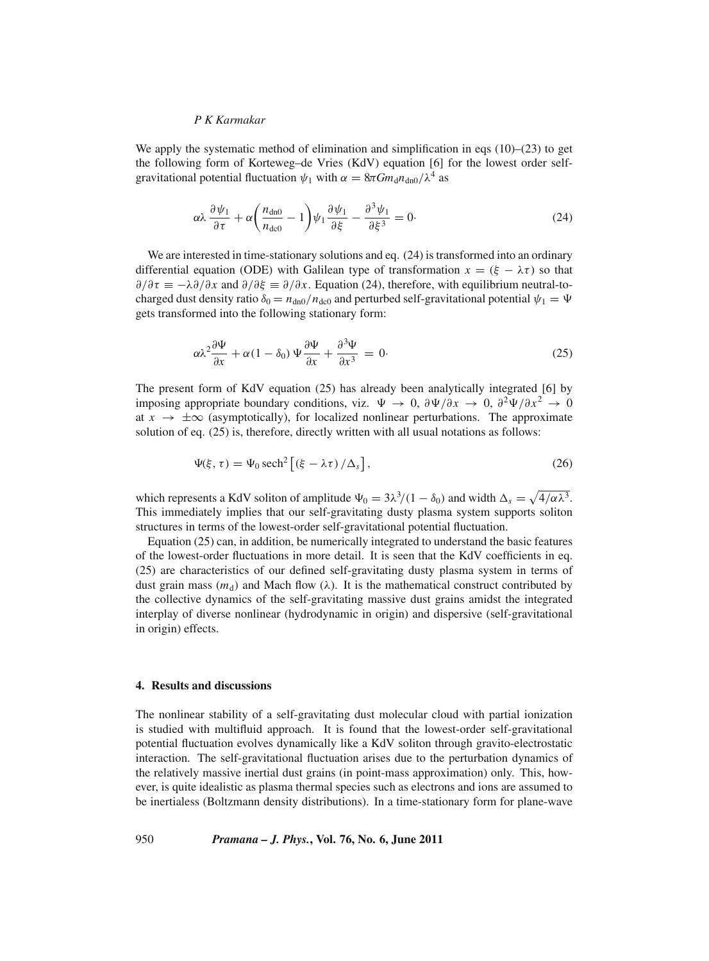We apply the systematic method of elimination and simplification in eqs  $(10)$ – $(23)$  to get the following form of Korteweg–de Vries (KdV) equation [6] for the lowest order selfgravitational potential fluctuation  $\psi_1$  with  $\alpha = 8\pi G m_d n_{d0}/\lambda^4$  as

$$
\alpha\lambda \frac{\partial \psi_1}{\partial \tau} + \alpha \left(\frac{n_{\text{dn}0}}{n_{\text{d}c0}} - 1\right) \psi_1 \frac{\partial \psi_1}{\partial \xi} - \frac{\partial^3 \psi_1}{\partial \xi^3} = 0. \tag{24}
$$

We are interested in time-stationary solutions and eq.  $(24)$  is transformed into an ordinary differential equation (ODE) with Galilean type of transformation  $x = (\xi - \lambda \tau)$  so that  $\partial/\partial \tau = -\lambda \partial/\partial x$  and  $\partial/\partial \xi = \partial/\partial x$ . Equation (24), therefore, with equilibrium neutral-tocharged dust density ratio  $\delta_0 = n_{dn0}/n_{dc0}$  and perturbed self-gravitational potential  $\psi_1 = \Psi$ gets transformed into the following stationary form:

$$
\alpha \lambda^2 \frac{\partial \Psi}{\partial x} + \alpha (1 - \delta_0) \Psi \frac{\partial \Psi}{\partial x} + \frac{\partial^3 \Psi}{\partial x^3} = 0. \tag{25}
$$

The present form of KdV equation (25) has already been analytically integrated [6] by imposing appropriate boundary conditions, viz.  $\Psi \to 0$ ,  $\partial \Psi / \partial x \to 0$ ,  $\partial^2 \Psi / \partial x^2 \to 0$ at  $x \to \pm \infty$  (asymptotically), for localized nonlinear perturbations. The approximate solution of eq. (25) is, therefore, directly written with all usual notations as follows:

$$
\Psi(\xi, \tau) = \Psi_0 \operatorname{sech}^2 \left[ \left( \xi - \lambda \tau \right) / \Delta_s \right],\tag{26}
$$

which represents a KdV soliton of amplitude  $\Psi_0 = 3\lambda^3/(1 - \delta_0)$  and width  $\Delta_s = \sqrt{4/\alpha\lambda^3}$ . This immediately implies that our self-gravitating dusty plasma system supports soliton structures in terms of the lowest-order self-gravitational potential fluctuation.

Equation (25) can, in addition, be numerically integrated to understand the basic features of the lowest-order fluctuations in more detail. It is seen that the KdV coefficients in eq. (25) are characteristics of our defined self-gravitating dusty plasma system in terms of dust grain mass ( $m_d$ ) and Mach flow ( $\lambda$ ). It is the mathematical construct contributed by the collective dynamics of the self-gravitating massive dust grains amidst the integrated interplay of diverse nonlinear (hydrodynamic in origin) and dispersive (self-gravitational in origin) effects.

#### **4. Results and discussions**

The nonlinear stability of a self-gravitating dust molecular cloud with partial ionization is studied with multifluid approach. It is found that the lowest-order self-gravitational potential fluctuation evolves dynamically like a KdV soliton through gravito-electrostatic interaction. The self-gravitational fluctuation arises due to the perturbation dynamics of the relatively massive inertial dust grains (in point-mass approximation) only. This, however, is quite idealistic as plasma thermal species such as electrons and ions are assumed to be inertialess (Boltzmann density distributions). In a time-stationary form for plane-wave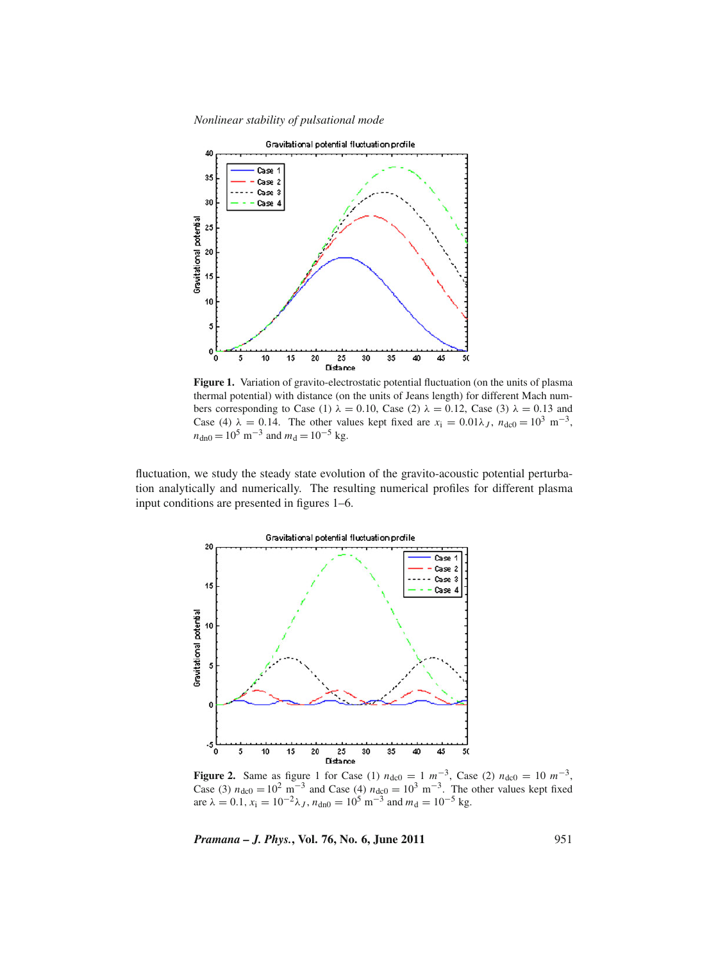*Nonlinear stability of pulsational mode*



**Figure 1.** Variation of gravito-electrostatic potential fluctuation (on the units of plasma thermal potential) with distance (on the units of Jeans length) for different Mach numbers corresponding to Case (1)  $\lambda = 0.10$ , Case (2)  $\lambda = 0.12$ , Case (3)  $\lambda = 0.13$  and Case (4)  $\lambda = 0.14$ . The other values kept fixed are  $x_i = 0.01\lambda_J$ ,  $n_{d0} = 10^3$  m<sup>-3</sup>,  $n_{\text{dn0}} = 10^5 \text{ m}^{-3}$  and  $m_d = 10^{-5} \text{ kg}$ .

fluctuation, we study the steady state evolution of the gravito-acoustic potential perturbation analytically and numerically. The resulting numerical profiles for different plasma input conditions are presented in figures 1–6.



**Figure 2.** Same as figure 1 for Case (1)  $n_{\text{dc0}} = 1 \text{ m}^{-3}$ , Case (2)  $n_{\text{dc0}} = 10 \text{ m}^{-3}$ , Case (3)  $n_{\text{dc0}} = 10^2 \text{ m}^{-3}$  and Case (4)  $n_{\text{dc0}} = 10^3 \text{ m}^{-3}$ . The other values kept fixed are  $\lambda = 0.1$ ,  $x_i = 10^{-2} \lambda_J$ ,  $n_{dn0} = 10^5$  m<sup>-3</sup> and  $m_d = 10^{-5}$  kg.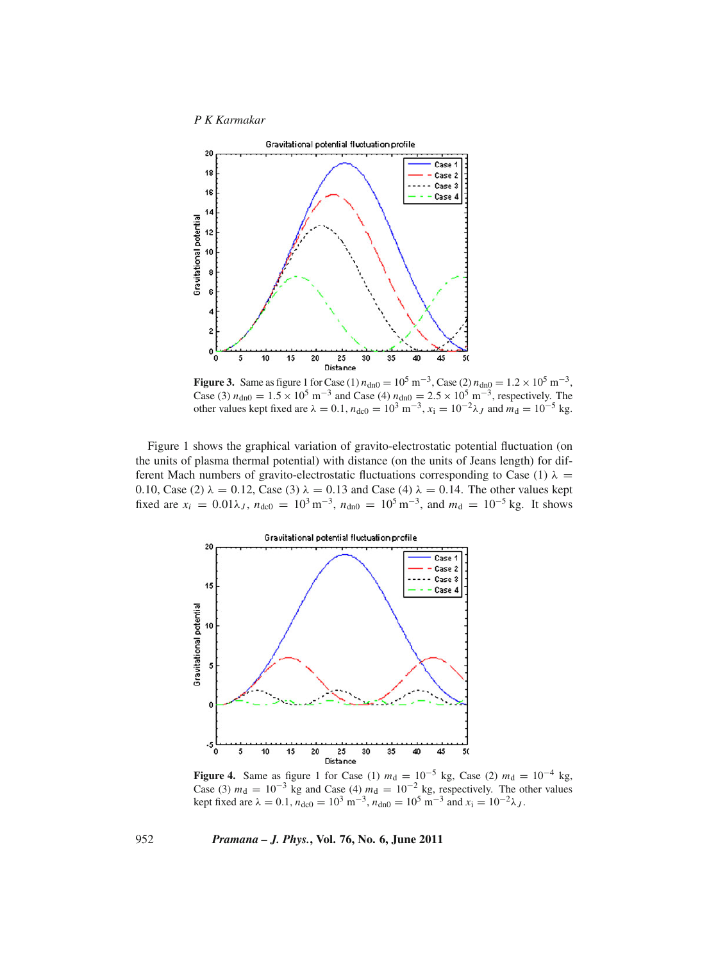

**Figure 3.** Same as figure 1 for Case (1)  $n_{\text{dn0}} = 10^5 \text{ m}^{-3}$ , Case (2)  $n_{\text{dn0}} = 1.2 \times 10^5 \text{ m}^{-3}$ , Case (3)  $n_{\text{dn0}} = 1.5 \times 10^5 \text{ m}^{-3}$  and Case (4)  $n_{\text{dn0}} = 2.5 \times 10^5 \text{ m}^{-3}$ , respectively. The other values kept fixed are  $\lambda = 0.1$ ,  $n_{\text{dc0}} = 10^3 \text{ m}^{-3}$ ,  $x_i = 10^{-2} \lambda_J$  and  $m_{\text{d}} = 10^{-5} \text{ kg}$ .

Figure 1 shows the graphical variation of gravito-electrostatic potential fluctuation (on the units of plasma thermal potential) with distance (on the units of Jeans length) for different Mach numbers of gravito-electrostatic fluctuations corresponding to Case (1)  $\lambda$  = 0.10, Case (2)  $\lambda = 0.12$ , Case (3)  $\lambda = 0.13$  and Case (4)  $\lambda = 0.14$ . The other values kept fixed are  $x_i = 0.01\lambda_J$ ,  $n_{d0} = 10^3 \text{ m}^{-3}$ ,  $n_{d0} = 10^5 \text{ m}^{-3}$ , and  $m_d = 10^{-5} \text{ kg}$ . It shows



**Figure 4.** Same as figure 1 for Case (1)  $m_d = 10^{-5}$  kg, Case (2)  $m_d = 10^{-4}$  kg, Case (3)  $m_d = 10^{-3}$  kg and Case (4)  $m_d = 10^{-2}$  kg, respectively. The other values kept fixed are  $\lambda = 0.1$ ,  $n_{\text{dc0}} = 10^3 \text{ m}^{-3}$ ,  $n_{\text{dn0}} = 10^5 \text{ m}^{-3}$  and  $x_i = 10^{-2} \lambda_J$ .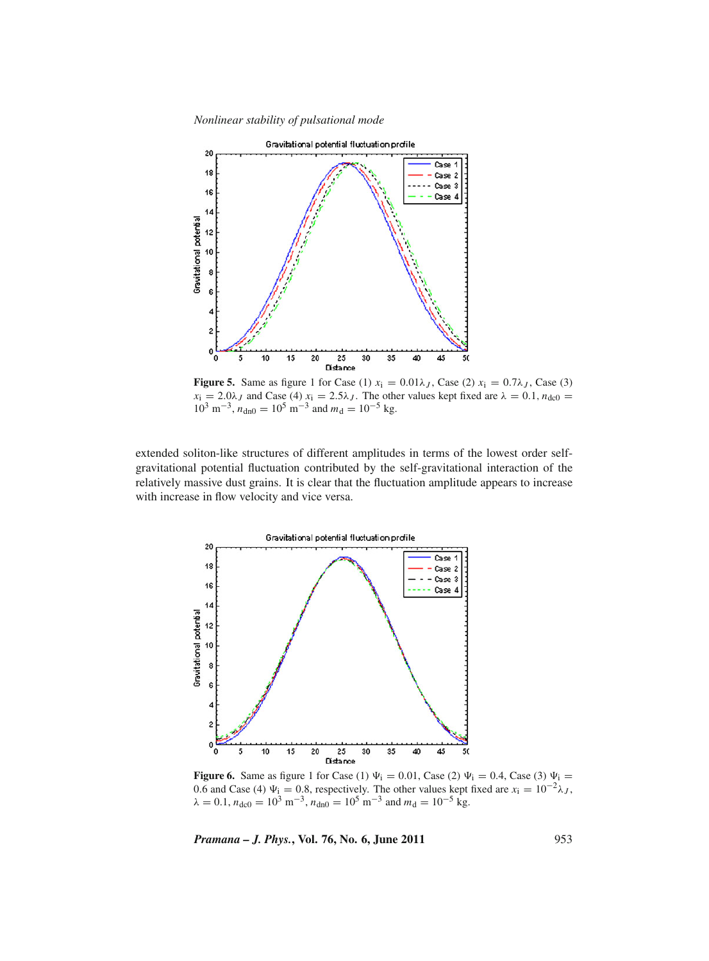*Nonlinear stability of pulsational mode*



**Figure 5.** Same as figure 1 for Case (1)  $x_i = 0.01\lambda_J$ , Case (2)  $x_i = 0.7\lambda_J$ , Case (3)  $x_i = 2.0\lambda_J$  and Case (4)  $x_i = 2.5\lambda_J$ . The other values kept fixed are  $\lambda = 0.1$ ,  $n_{\text{dc0}} =$  $10^3$  m<sup>-3</sup>,  $n_{dn0} = 10^5$  m<sup>-3</sup> and  $m_d = 10^{-5}$  kg.

extended soliton-like structures of different amplitudes in terms of the lowest order selfgravitational potential fluctuation contributed by the self-gravitational interaction of the relatively massive dust grains. It is clear that the fluctuation amplitude appears to increase with increase in flow velocity and vice versa.



**Figure 6.** Same as figure 1 for Case (1)  $\Psi_i = 0.01$ , Case (2)  $\Psi_i = 0.4$ , Case (3)  $\Psi_i =$ 0.6 and Case (4)  $\Psi_i = 0.8$ , respectively. The other values kept fixed are  $x_i = 10^{-2}\lambda_J$ ,  $\lambda = 0.1$ ,  $n_{\text{dc0}} = 10^3$  m<sup>-3</sup>,  $n_{\text{dn0}} = 10^5$  m<sup>-3</sup> and  $m_{\text{d}} = 10^{-5}$  kg.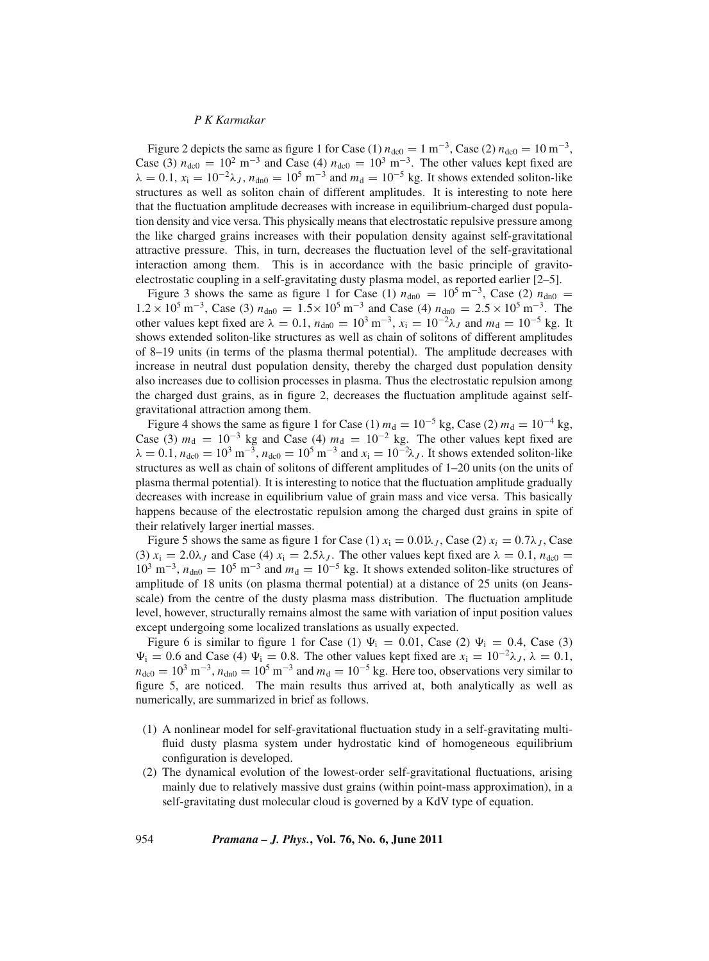Figure 2 depicts the same as figure 1 for Case (1)  $n_{\text{dc0}} = 1 \text{ m}^{-3}$ , Case (2)  $n_{\text{dc0}} = 10 \text{ m}^{-3}$ , Case (3)  $n_{\text{dc0}} = 10^2 \text{ m}^{-3}$  and Case (4)  $n_{\text{dc0}} = 10^3 \text{ m}^{-3}$ . The other values kept fixed are  $\lambda = 0.1$ ,  $x_i = 10^{-2}\lambda_J$ ,  $n_{dn0} = 10^5$  m<sup>-3</sup> and  $m_d = 10^{-5}$  kg. It shows extended soliton-like structures as well as soliton chain of different amplitudes. It is interesting to note here that the fluctuation amplitude decreases with increase in equilibrium-charged dust population density and vice versa. This physically means that electrostatic repulsive pressure among the like charged grains increases with their population density against self-gravitational attractive pressure. This, in turn, decreases the fluctuation level of the self-gravitational interaction among them. This is in accordance with the basic principle of gravitoelectrostatic coupling in a self-gravitating dusty plasma model, as reported earlier [2–5].

Figure 3 shows the same as figure 1 for Case (1)  $n_{\text{dn0}} = 10^5 \text{ m}^{-3}$ , Case (2)  $n_{\text{dn0}} =$ 1.2 × 10<sup>5</sup> m<sup>-3</sup>, Case (3)  $n_{\text{dn0}} = 1.5 \times 10^5$  m<sup>-3</sup> and Case (4)  $n_{\text{dn0}} = 2.5 \times 10^5$  m<sup>-3</sup>. The other values kept fixed are  $\lambda = 0.1$ ,  $n_{\text{dn0}} = 10^3 \text{ m}^{-3}$ ,  $x_i = 10^{-2} \lambda_J$  and  $m_d = 10^{-5} \text{ kg}$ . It shows extended soliton-like structures as well as chain of solitons of different amplitudes of 8–19 units (in terms of the plasma thermal potential). The amplitude decreases with increase in neutral dust population density, thereby the charged dust population density also increases due to collision processes in plasma. Thus the electrostatic repulsion among the charged dust grains, as in figure 2, decreases the fluctuation amplitude against selfgravitational attraction among them.

Figure 4 shows the same as figure 1 for Case (1)  $m_d = 10^{-5}$  kg, Case (2)  $m_d = 10^{-4}$  kg, Case (3)  $m_d = 10^{-3}$  kg and Case (4)  $m_d = 10^{-2}$  kg. The other values kept fixed are  $\lambda = 0.1$ ,  $n_{\text{dc0}} = 10^3 \text{ m}^{-3}$ ,  $n_{\text{dc0}} = 10^5 \text{ m}^{-3}$  and  $x_i = 10^{-2} \lambda_J$ . It shows extended soliton-like structures as well as chain of solitons of different amplitudes of 1–20 units (on the units of plasma thermal potential). It is interesting to notice that the fluctuation amplitude gradually decreases with increase in equilibrium value of grain mass and vice versa. This basically happens because of the electrostatic repulsion among the charged dust grains in spite of their relatively larger inertial masses.

Figure 5 shows the same as figure 1 for Case (1)  $x_i = 0.01\lambda_J$ , Case (2)  $x_i = 0.7\lambda_J$ , Case (3)  $x_i = 2.0\lambda_J$  and Case (4)  $x_i = 2.5\lambda_J$ . The other values kept fixed are  $\lambda = 0.1$ ,  $n_{\text{dc0}} =$  $10^3$  m<sup>-3</sup>,  $n_{\text{dn0}} = 10^5$  m<sup>-3</sup> and  $m_d = 10^{-5}$  kg. It shows extended soliton-like structures of amplitude of 18 units (on plasma thermal potential) at a distance of 25 units (on Jeansscale) from the centre of the dusty plasma mass distribution. The fluctuation amplitude level, however, structurally remains almost the same with variation of input position values except undergoing some localized translations as usually expected.

Figure 6 is similar to figure 1 for Case (1)  $\Psi_i = 0.01$ , Case (2)  $\Psi_i = 0.4$ , Case (3)  $\Psi_i = 0.6$  and Case (4)  $\Psi_i = 0.8$ . The other values kept fixed are  $x_i = 10^{-2}\lambda_J$ ,  $\lambda = 0.1$ ,  $n_{\text{dc0}} = 10^3 \text{ m}^{-3}$ ,  $n_{\text{dn0}} = 10^5 \text{ m}^{-3}$  and  $m_d = 10^{-5} \text{ kg}$ . Here too, observations very similar to figure 5, are noticed. The main results thus arrived at, both analytically as well as numerically, are summarized in brief as follows.

- (1) A nonlinear model for self-gravitational fluctuation study in a self-gravitating multifluid dusty plasma system under hydrostatic kind of homogeneous equilibrium configuration is developed.
- (2) The dynamical evolution of the lowest-order self-gravitational fluctuations, arising mainly due to relatively massive dust grains (within point-mass approximation), in a self-gravitating dust molecular cloud is governed by a KdV type of equation.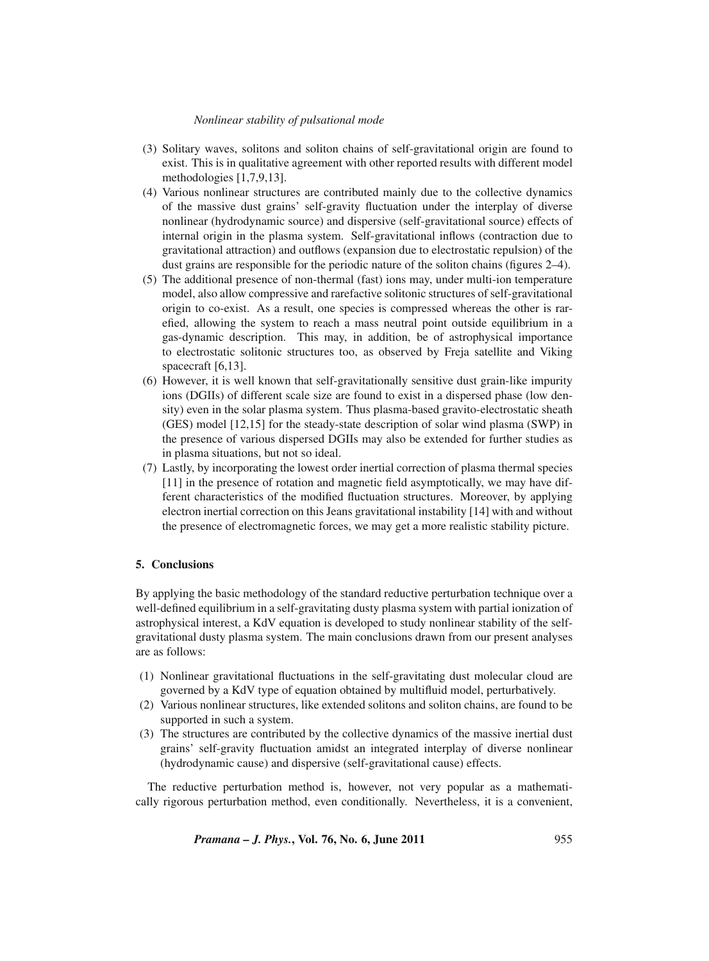#### *Nonlinear stability of pulsational mode*

- (3) Solitary waves, solitons and soliton chains of self-gravitational origin are found to exist. This is in qualitative agreement with other reported results with different model methodologies [1,7,9,13].
- (4) Various nonlinear structures are contributed mainly due to the collective dynamics of the massive dust grains' self-gravity fluctuation under the interplay of diverse nonlinear (hydrodynamic source) and dispersive (self-gravitational source) effects of internal origin in the plasma system. Self-gravitational inflows (contraction due to gravitational attraction) and outflows (expansion due to electrostatic repulsion) of the dust grains are responsible for the periodic nature of the soliton chains (figures 2–4).
- (5) The additional presence of non-thermal (fast) ions may, under multi-ion temperature model, also allow compressive and rarefactive solitonic structures of self-gravitational origin to co-exist. As a result, one species is compressed whereas the other is rarefied, allowing the system to reach a mass neutral point outside equilibrium in a gas-dynamic description. This may, in addition, be of astrophysical importance to electrostatic solitonic structures too, as observed by Freja satellite and Viking spacecraft [6,13].
- (6) However, it is well known that self-gravitationally sensitive dust grain-like impurity ions (DGIIs) of different scale size are found to exist in a dispersed phase (low density) even in the solar plasma system. Thus plasma-based gravito-electrostatic sheath (GES) model [12,15] for the steady-state description of solar wind plasma (SWP) in the presence of various dispersed DGIIs may also be extended for further studies as in plasma situations, but not so ideal.
- (7) Lastly, by incorporating the lowest order inertial correction of plasma thermal species [11] in the presence of rotation and magnetic field asymptotically, we may have different characteristics of the modified fluctuation structures. Moreover, by applying electron inertial correction on this Jeans gravitational instability [14] with and without the presence of electromagnetic forces, we may get a more realistic stability picture.

#### **5. Conclusions**

By applying the basic methodology of the standard reductive perturbation technique over a well-defined equilibrium in a self-gravitating dusty plasma system with partial ionization of astrophysical interest, a KdV equation is developed to study nonlinear stability of the selfgravitational dusty plasma system. The main conclusions drawn from our present analyses are as follows:

- (1) Nonlinear gravitational fluctuations in the self-gravitating dust molecular cloud are governed by a KdV type of equation obtained by multifluid model, perturbatively.
- (2) Various nonlinear structures, like extended solitons and soliton chains, are found to be supported in such a system.
- (3) The structures are contributed by the collective dynamics of the massive inertial dust grains' self-gravity fluctuation amidst an integrated interplay of diverse nonlinear (hydrodynamic cause) and dispersive (self-gravitational cause) effects.

The reductive perturbation method is, however, not very popular as a mathematically rigorous perturbation method, even conditionally. Nevertheless, it is a convenient,